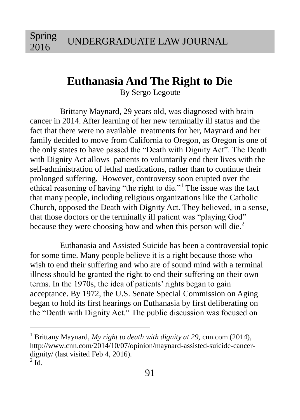Spring 2016

 $\overline{a}$ 

# **Euthanasia And The Right to Die**

By Sergo Legoute

Brittany Maynard, 29 years old, was diagnosed with brain cancer in 2014. After learning of her new terminally ill status and the fact that there were no available treatments for her, Maynard and her family decided to move from California to Oregon, as Oregon is one of the only states to have passed the "Death with Dignity Act". The Death with Dignity Act allows patients to voluntarily end their lives with the self-administration of lethal medications, rather than to continue their prolonged suffering. However, controversy soon erupted over the ethical reasoning of having "the right to die."<sup>1</sup> The issue was the fact that many people, including religious organizations like the Catholic Church, opposed the Death with Dignity Act. They believed, in a sense, that those doctors or the terminally ill patient was "playing God" because they were choosing how and when this person will die. $<sup>2</sup>$ </sup>

Euthanasia and Assisted Suicide has been a controversial topic for some time. Many people believe it is a right because those who wish to end their suffering and who are of sound mind with a terminal illness should be granted the right to end their suffering on their own terms. In the 1970s, the idea of patients' rights began to gain acceptance. By 1972, the U.S. Senate Special Commission on Aging began to hold its first hearings on Euthanasia by first deliberating on the "Death with Dignity Act." The public discussion was focused on

<sup>1</sup> Brittany Maynard, *My right to death with dignity at 29,* cnn.com (2014), http://www.cnn.com/2014/10/07/opinion/maynard-assisted-suicide-cancerdignity/ (last visited Feb 4, 2016).  $^{2}$  Id.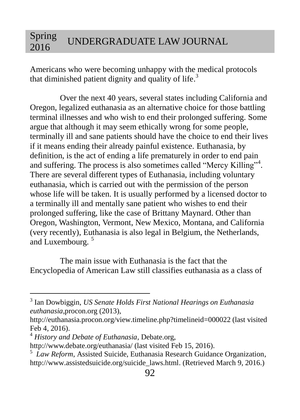Americans who were becoming unhappy with the medical protocols that diminished patient dignity and quality of life.<sup>3</sup>

Over the next 40 years, several states including California and Oregon, legalized euthanasia as an alternative choice for those battling terminal illnesses and who wish to end their prolonged suffering. Some argue that although it may seem ethically wrong for some people, terminally ill and sane patients should have the choice to end their lives if it means ending their already painful existence. Euthanasia, by definition, is the act of ending a life prematurely in order to end pain and suffering. The process is also sometimes called "Mercy Killing"<sup>4</sup>. There are several different types of Euthanasia, including voluntary euthanasia, which is carried out with the permission of the person whose life will be taken. It is usually performed by a licensed doctor to a terminally ill and mentally sane patient who wishes to end their prolonged suffering, like the case of Brittany Maynard. Other than Oregon, Washington, Vermont, New Mexico, Montana, and California (very recently), Euthanasia is also legal in Belgium, the Netherlands, and Luxembourg.<sup>5</sup>

The main issue with Euthanasia is the fact that the Encyclopedia of American Law still classifies euthanasia as a class of

<sup>3</sup> Ian Dowbiggin, *US Senate Holds First National Hearings on Euthanasia euthanasia*,procon.org (2013),

http://euthanasia.procon.org/view.timeline.php?timelineid=000022 (last visited Feb 4, 2016).

<sup>4</sup> *History and Debate of Euthanasia*, Debate.org,

http://www.debate.org/euthanasia/ (last visited Feb 15, 2016).

<sup>&</sup>lt;sup>5</sup> Law Reform, Assisted Suicide, Euthanasia Research Guidance Organization, [http://www.assistedsuicide.org/suicide\\_laws.html.](http://www.assistedsuicide.org/suicide_laws.html) (Retrieved March 9, 2016.)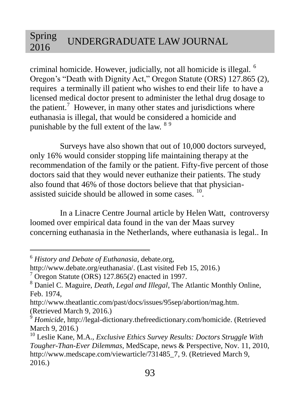criminal homicide. However, judicially, not all homicide is illegal. <sup>6</sup> Oregon's "Death with Dignity Act," Oregon Statute (ORS) 127.865 (2), requires a terminally ill patient who wishes to end their life to have a licensed medical doctor present to administer the lethal drug dosage to the patient.<sup>7</sup> However, in many other states and jurisdictions where euthanasia is illegal, that would be considered a homicide and punishable by the full extent of the law. <sup>89</sup>

Surveys have also shown that out of 10,000 doctors surveyed, only 16% would consider stopping life maintaining therapy at the recommendation of the family or the patient. Fifty-five percent of those doctors said that they would never euthanize their patients. The study also found that 46% of those doctors believe that that physicianassisted suicide should be allowed in some cases. <sup>10</sup>.

In a Linacre Centre Journal article by Helen Watt, controversy loomed over empirical data found in the van der Maas survey concerning euthanasia in the Netherlands, where euthanasia is legal.. In

 $\overline{a}$ 

[http://www.theatlantic.com/past/docs/issues/95sep/abortion/mag.htm.](http://www.theatlantic.com/past/docs/issues/95sep/abortion/mag.htm) (Retrieved March 9, 2016.)

<sup>6</sup> *History and Debate of Euthanasia*, debate.org,

http://www.debate.org/euthanasia/. (Last visited Feb 15, 2016.)

 $7$  Oregon Statute (ORS) 127.865(2) enacted in 1997.

<sup>8</sup> Daniel C. Maguire, *Death, Legal and Illegal*, The Atlantic Monthly Online, Feb. 1974,

<sup>9</sup> *Homicide*[, http://legal-dictionary.thefreedictionary.com/homicide.](http://legal-dictionary.thefreedictionary.com/homicide) (Retrieved March 9, 2016.)

<sup>10</sup> Leslie Kane, M.A., *Exclusive Ethics Survey Results: Doctors Struggle With Tougher-Than-Ever Dilemmas,* MedScape, news & Perspective, Nov. 11, 2010, [http://www.medscape.com/viewarticle/731485\\_7,](http://www.medscape.com/viewarticle/731485_7) 9. (Retrieved March 9, 2016.)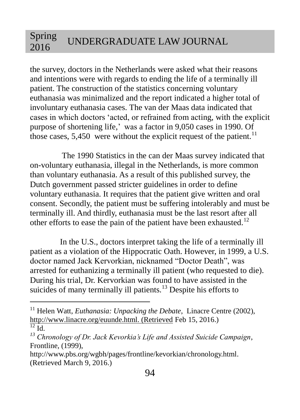the survey, doctors in the Netherlands were asked what their reasons and intentions were with regards to ending the life of a terminally ill patient. The construction of the statistics concerning voluntary euthanasia was minimalized and the report indicated a higher total of involuntary euthanasia cases. The van der Maas data indicated that cases in which doctors 'acted, or refrained from acting, with the explicit purpose of shortening life,' was a factor in 9,050 cases in 1990. Of those cases,  $5,450$  were without the explicit request of the patient.<sup>11</sup>

The 1990 Statistics in the can der Maas survey indicated that on-voluntary euthanasia, illegal in the Netherlands, is more common than voluntary euthanasia. As a result of this published survey, the Dutch government passed stricter guidelines in order to define voluntary euthanasia. It requires that the patient give written and oral consent. Secondly, the patient must be suffering intolerably and must be terminally ill. And thirdly, euthanasia must be the last resort after all other efforts to ease the pain of the patient have been exhausted.<sup>12</sup>

In the U.S., doctors interpret taking the life of a terminally ill patient as a violation of the Hippocratic Oath. However, in 1999, a U.S. doctor named Jack Kervorkian, nicknamed "Doctor Death", was arrested for euthanizing a terminally ill patient (who requested to die). During his trial, Dr. Kervorkian was found to have assisted in the suicides of many terminally ill patients.<sup>13</sup> Despite his efforts to

<sup>&</sup>lt;sup>11</sup> Helen Watt, *Euthanasia: Unpacking the Debate*, Linacre Centre (2002), [http://www.linacre.org/euunde.html. \(Retrieved](http://www.linacre.org/euunde.html.%20(Retrieved) Feb 15, 2016.)

 $\overline{12}$  Id.

*<sup>13</sup> Chronology of Dr. Jack Kevorkia's Life and Assisted Suicide Campaign*, Frontline, (1999),

[http://www.pbs.org/wgbh/pages/frontline/kevorkian/chronology.html.](http://www.pbs.org/wgbh/pages/frontline/kevorkian/chronology.html)  (Retrieved March 9, 2016.)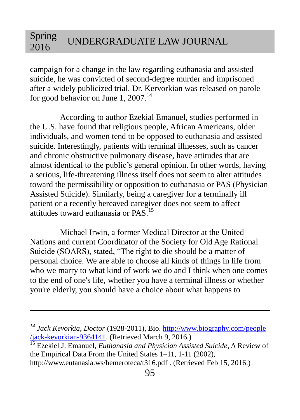campaign for a change in the law regarding euthanasia and assisted suicide, he was convicted of second-degree murder and imprisoned after a widely publicized trial. Dr. Kervorkian was released on parole for good behavior on June 1,  $2007$ .<sup>14</sup>

According to author Ezekial Emanuel, studies performed in the U.S. have found that religious people, African Americans, older individuals, and women tend to be opposed to euthanasia and assisted suicide. Interestingly, patients with terminal illnesses, such as cancer and chronic obstructive pulmonary disease, have attitudes that are almost identical to the public's general opinion. In other words, having a serious, life-threatening illness itself does not seem to alter attitudes toward the permissibility or opposition to euthanasia or PAS (Physician Assisted Suicide). Similarly, being a caregiver for a terminally ill patient or a recently bereaved caregiver does not seem to affect attitudes toward euthanasia or PAS.<sup>15</sup>

Michael Irwin, a former Medical Director at the United Nations and current Coordinator of the Society for Old Age Rational Suicide (SOARS), stated, "The right to die should be a matter of personal choice. We are able to choose all kinds of things in life from who we marry to what kind of work we do and I think when one comes to the end of one's life, whether you have a terminal illness or whether you're elderly, you should have a choice about what happens to

*<sup>14</sup> Jack Kevorkia, Doctor* (1928-2011), Bio[. http://www.biography.com/people](http://www.biography.com/people%20/jack-kevorkian-9364141)  [/jack-kevorkian-9364141.](http://www.biography.com/people%20/jack-kevorkian-9364141) (Retrieved March 9, 2016.)

<sup>&</sup>lt;sup>15</sup> Ezekiel J. Emanuel, *Euthanasia and Physician Assisted Suicide*, A Review of the Empirical Data From the United States 1–11, 1-11 (2002), http://www.eutanasia.ws/hemeroteca/t316.pdf . (Retrieved Feb 15, 2016.)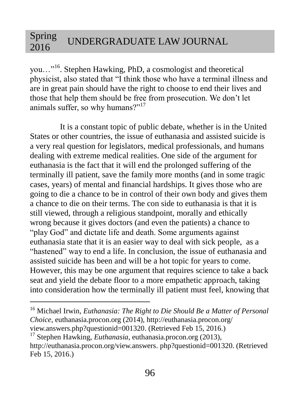you…"<sup>16</sup>. Stephen Hawking, PhD, a cosmologist and theoretical physicist, also stated that "I think those who have a terminal illness and are in great pain should have the right to choose to end their lives and those that help them should be free from prosecution. We don't let animals suffer, so why humans?"<sup>17</sup>

It is a constant topic of public debate, whether is in the United States or other countries, the issue of euthanasia and assisted suicide is a very real question for legislators, medical professionals, and humans dealing with extreme medical realities. One side of the argument for euthanasia is the fact that it will end the prolonged suffering of the terminally ill patient, save the family more months (and in some tragic cases, years) of mental and financial hardships. It gives those who are going to die a chance to be in control of their own body and gives them a chance to die on their terms. The con side to euthanasia is that it is still viewed, through a religious standpoint, morally and ethically wrong because it gives doctors (and even the patients) a chance to "play God" and dictate life and death. Some arguments against euthanasia state that it is an easier way to deal with sick people, as a "hastened" way to end a life. In conclusion, the issue of euthanasia and assisted suicide has been and will be a hot topic for years to come. However, this may be one argument that requires science to take a back seat and yield the debate floor to a more empathetic approach, taking into consideration how the terminally ill patient must feel, knowing that

<sup>16</sup> Michael Irwin, *Euthanasia: The Right to Die Should Be a Matter of Personal Choice*, euthanasia.procon.org (2014),<http://euthanasia.procon.org/> view.answers.php?questionid=001320. (Retrieved Feb 15, 2016.)

<sup>17</sup> Stephen Hawking, *Euthanasia*, euthanasia.procon.org (2013), [http://euthanasia.procon.org/view.answers.](http://euthanasia.procon.org/view.answers) php?questionid=001320. (Retrieved Feb 15, 2016.)